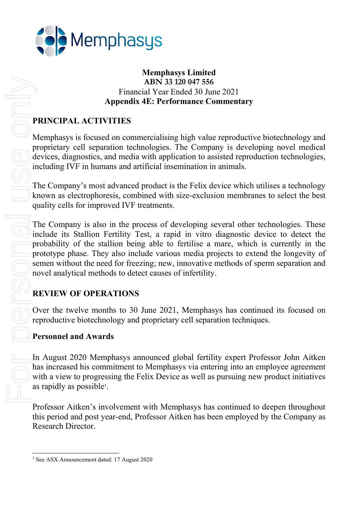

### Memphasys Limited ABN 33 120 047 556 Financial Year Ended 30 June 2021 Appendix 4E: Performance Commentary

# PRINCIPAL ACTIVITIES

Memphasys is focused on commercialising high value reproductive biotechnology and proprietary cell separation technologies. The Company is developing novel medical devices, diagnostics, and media with application to assisted reproduction technologies, including IVF in humans and artificial insemination in animals.

The Company's most advanced product is the Felix device which utilises a technology known as electrophoresis, combined with size-exclusion membranes to select the best quality cells for improved IVF treatments.

The Company is also in the process of developing several other technologies. These include its Stallion Fertility Test, a rapid in vitro diagnostic device to detect the probability of the stallion being able to fertilise a mare, which is currently in the prototype phase. They also include various media projects to extend the longevity of semen without the need for freezing; new, innovative methods of sperm separation and novel analytical methods to detect causes of infertility.

# REVIEW OF OPERATIONS

Over the twelve months to 30 June 2021, Memphasys has continued its focused on reproductive biotechnology and proprietary cell separation techniques.

### Personnel and Awards

In August 2020 Memphasys announced global fertility expert Professor John Aitken has increased his commitment to Memphasys via entering into an employee agreement with a view to progressing the Felix Device as well as pursuing new product initiatives as rapidly as possible<sup>1</sup> .

Professor Aitken's involvement with Memphasys has continued to deepen throughout this period and post year-end, Professor Aitken has been employed by the Company as Research Director.

AE<br>
Financial<br>
Appendix 4E:<br>
PRINCIPAL ACTIVITIES<br>
Memphasys is focused on commerc<br>
proprietary cell separation technolo<br>
devices, diagnostics, and media with<br>
including IVF in humans and artific<br>
The Company's most advanc

<sup>&</sup>lt;sup>1</sup> See ASX Announcement dated: 17 August 2020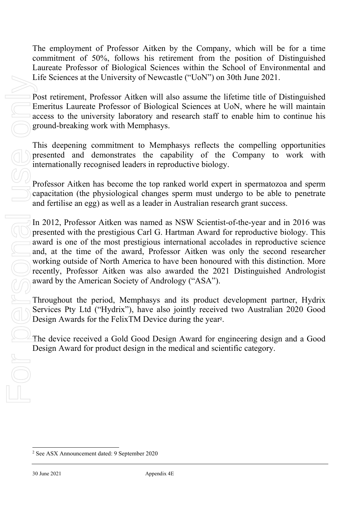The employment of Professor Aitken by the Company, which will be for a time commitment of 50%, follows his retirement from the position of Distinguished Laureate Professor of Biological Sciences within the School of Environmental and Life Sciences at the University of Newcastle ("UoN") on 30th June 2021.

Post retirement, Professor Aitken will also assume the lifetime title of Distinguished Emeritus Laureate Professor of Biological Sciences at UoN, where he will maintain access to the university laboratory and research staff to enable him to continue his ground-breaking work with Memphasys.

This deepening commitment to Memphasys reflects the compelling opportunities presented and demonstrates the capability of the Company to work with internationally recognised leaders in reproductive biology.

Professor Aitken has become the top ranked world expert in spermatozoa and sperm capacitation (the physiological changes sperm must undergo to be able to penetrate and fertilise an egg) as well as a leader in Australian research grant success.

In 2012, Professor Aitken was named as NSW Scientist-of-the-year and in 2016 was presented with the prestigious Carl G. Hartman Award for reproductive biology. This award is one of the most prestigious international accolades in reproductive science and, at the time of the award, Professor Aitken was only the second researcher working outside of North America to have been honoured with this distinction. More recently, Professor Aitken was also awarded the 2021 Distinguished Andrologist award by the American Society of Andrology ("ASA").

Throughout the period, Memphasys and its product development partner, Hydrix Services Pty Ltd ("Hydrix"), have also jointly received two Australian 2020 Good Design Awards for the FelixTM Device during the year<sup>2</sup>.

The device received a Gold Good Design Award for engineering design and a Good Design Award for product design in the medical and scientific category.

<sup>&</sup>lt;sup>2</sup> See ASX Announcement dated: 9 September 2020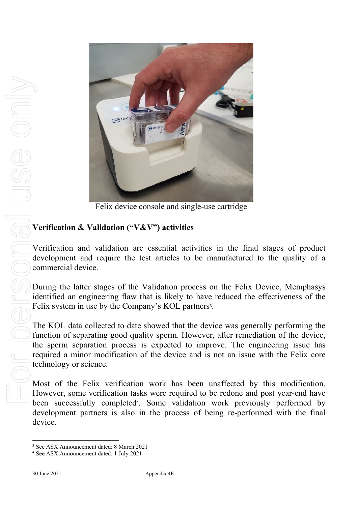

Felix device console and single-use cartridge

# Verification & Validation ("V&V") activities

Verification and validation are essential activities in the final stages of product development and require the test articles to be manufactured to the quality of a commercial device.

During the latter stages of the Validation process on the Felix Device, Memphasys identified an engineering flaw that is likely to have reduced the effectiveness of the Felix system in use by the Company's KOL partners<sup>3</sup>.

The KOL data collected to date showed that the device was generally performing the function of separating good quality sperm. However, after remediation of the device, the sperm separation process is expected to improve. The engineering issue has required a minor modification of the device and is not an issue with the Felix core technology or science.

Most of the Felix verification work has been unaffected by this modification. However, some verification tasks were required to be redone and post year-end have been successfully completed<sup>4</sup> . Some validation work previously performed by development partners is also in the process of being re-performed with the final device.

<sup>3</sup> See ASX Announcement dated: 8 March 2021

<sup>&</sup>lt;sup>4</sup> See ASX Announcement dated: 1 July 2021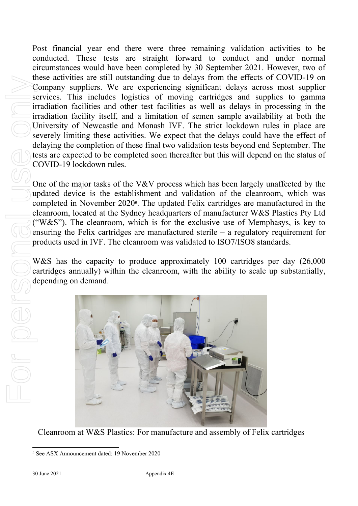Post financial year end there were three remaining validation activities to be conducted. These tests are straight forward to conduct and under normal circumstances would have been completed by 30 September 2021. However, two of these activities are still outstanding due to delays from the effects of COVID-19 on Company suppliers. We are experiencing significant delays across most supplier services. This includes logistics of moving cartridges and supplies to gamma irradiation facilities and other test facilities as well as delays in processing in the irradiation facility itself, and a limitation of semen sample availability at both the University of Newcastle and Monash IVF. The strict lockdown rules in place are severely limiting these activities. We expect that the delays could have the effect of delaying the completion of these final two validation tests beyond end September. The tests are expected to be completed soon thereafter but this will depend on the status of COVID-19 lockdown rules.

One of the major tasks of the V&V process which has been largely unaffected by the updated device is the establishment and validation of the cleanroom, which was completed in November 2020<sup>5</sup> . The updated Felix cartridges are manufactured in the cleanroom, located at the Sydney headquarters of manufacturer W&S Plastics Pty Ltd ("W&S"). The cleanroom, which is for the exclusive use of Memphasys, is key to ensuring the Felix cartridges are manufactured sterile – a regulatory requirement for products used in IVF. The cleanroom was validated to ISO7/ISO8 standards.

W&S has the capacity to produce approximately 100 cartridges per day (26,000) cartridges annually) within the cleanroom, with the ability to scale up substantially, depending on demand.



Cleanroom at W&S Plastics: For manufacture and assembly of Felix cartridges

<sup>&</sup>lt;sup>5</sup> See ASX Announcement dated: 19 November 2020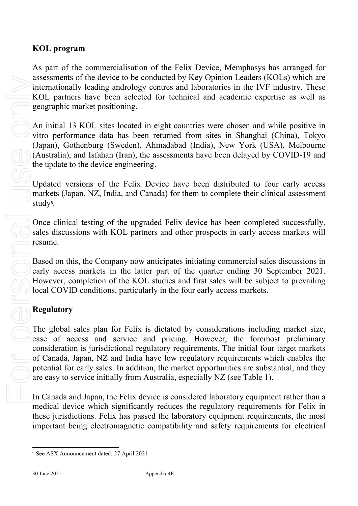### KOL program

As part of the commercialisation of the Felix Device, Memphasys has arranged for assessments of the device to be conducted by Key Opinion Leaders (KOLs) which are internationally leading andrology centres and laboratories in the IVF industry. These KOL partners have been selected for technical and academic expertise as well as geographic market positioning.

An initial 13 KOL sites located in eight countries were chosen and while positive in vitro performance data has been returned from sites in Shanghai (China), Tokyo (Japan), Gothenburg (Sweden), Ahmadabad (India), New York (USA), Melbourne (Australia), and Isfahan (Iran), the assessments have been delayed by COVID-19 and the update to the device engineering.

Updated versions of the Felix Device have been distributed to four early access markets (Japan, NZ, India, and Canada) for them to complete their clinical assessment study<sup>6</sup>.

Once clinical testing of the upgraded Felix device has been completed successfully, sales discussions with KOL partners and other prospects in early access markets will resume.

Based on this, the Company now anticipates initiating commercial sales discussions in early access markets in the latter part of the quarter ending 30 September 2021. However, completion of the KOL studies and first sales will be subject to prevailing local COVID conditions, particularly in the four early access markets.

# Regulatory

The global sales plan for Felix is dictated by considerations including market size, ease of access and service and pricing. However, the foremost preliminary consideration is jurisdictional regulatory requirements. The initial four target markets of Canada, Japan, NZ and India have low regulatory requirements which enables the potential for early sales. In addition, the market opportunities are substantial, and they are easy to service initially from Australia, especially NZ (see Table 1).

In Canada and Japan, the Felix device is considered laboratory equipment rather than a medical device which significantly reduces the regulatory requirements for Felix in these jurisdictions. Felix has passed the laboratory equipment requirements, the most important being electromagnetic compatibility and safety requirements for electrical

<sup>&</sup>lt;sup>6</sup> See ASX Announcement dated: 27 April 2021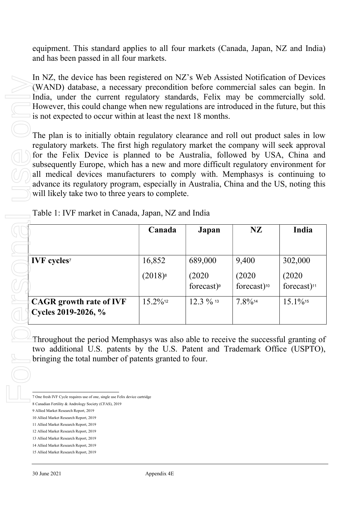equipment. This standard applies to all four markets (Canada, Japan, NZ and India) and has been passed in all four markets.

In NZ, the device has been registered on NZ's Web Assisted Notification of Devices (WAND) database, a necessary precondition before commercial sales can begin. In India, under the current regulatory standards, Felix may be commercially sold. However, this could change when new regulations are introduced in the future, but this is not expected to occur within at least the next 18 months.

The plan is to initially obtain regulatory clearance and roll out product sales in low regulatory markets. The first high regulatory market the company will seek approval for the Felix Device is planned to be Australia, followed by USA, China and subsequently Europe, which has a new and more difficult regulatory environment for all medical devices manufacturers to comply with. Memphasys is continuing to advance its regulatory program, especially in Australia, China and the US, noting this will likely take two to three years to complete.

|                                                                                                                                       | Canada       | Japan         | <b>NZ</b>               | India                   |
|---------------------------------------------------------------------------------------------------------------------------------------|--------------|---------------|-------------------------|-------------------------|
|                                                                                                                                       |              |               |                         |                         |
| <b>IVF</b> cycles <sup>7</sup>                                                                                                        | 16,852       | 689,000       | 9,400                   | 302,000                 |
|                                                                                                                                       |              |               |                         |                         |
|                                                                                                                                       | $(2018)^{8}$ | (2020)        | (2020)                  | (2020)                  |
|                                                                                                                                       |              | forecast) $9$ | forecast) <sup>10</sup> | forecast) <sup>11</sup> |
| <b>CAGR</b> growth rate of IVF                                                                                                        | 15.2%12      | 12.3 % 13     | 7.8%14                  | $15.1\%$ <sup>15</sup>  |
| Cycles 2019-2026, %                                                                                                                   |              |               |                         |                         |
| Throughout the period Memphasys was also able to receive the successful granting of                                                   |              |               |                         |                         |
| two additional U.S. patents by the U.S. Patent and Trademark Office (USPTO),<br>bringing the total number of patents granted to four. |              |               |                         |                         |
|                                                                                                                                       |              |               |                         |                         |
| 7 One fresh IVF Cycle requires use of one, single use Felix device cartridge                                                          |              |               |                         |                         |
| 8 Canadian Fertility & Andrology Society (CFAS), 2019                                                                                 |              |               |                         |                         |
| 9 Allied Market Research Report, 2019                                                                                                 |              |               |                         |                         |
| 10 Allied Market Research Report, 2019                                                                                                |              |               |                         |                         |
| 11 Allied Market Research Report, 2019                                                                                                |              |               |                         |                         |
| 12 Allied Market Research Report, 2019                                                                                                |              |               |                         |                         |
| 13 Allied Market Research Report, 2019<br>14 Allied Market Research Report, 2019                                                      |              |               |                         |                         |

- 10 Allied Market Research Report, 2019
- 11 Allied Market Research Report, 2019
- 12 Allied Market Research Report, 2019

<sup>8</sup> Canadian Fertility & Andrology Society (CFAS), 2019

<sup>9</sup> Allied Market Research Report, 2019

<sup>13</sup> Allied Market Research Report, 2019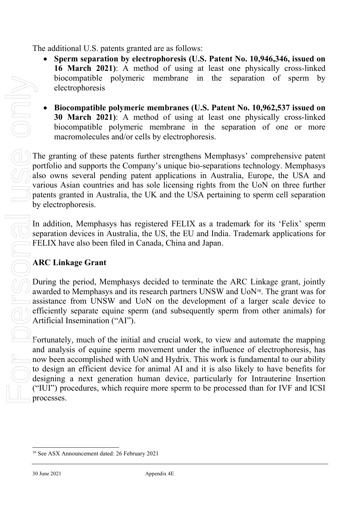The additional U.S. patents granted are as follows:

- Sperm separation by electrophoresis (U.S. Patent No. 10,946,346, issued on 16 March 2021): A method of using at least one physically cross-linked biocompatible polymeric membrane in the separation of sperm by electrophoresis
- Biocompatible polymeric membranes (U.S. Patent No. 10,962,537 issued on 30 March 2021): A method of using at least one physically cross-linked biocompatible polymeric membrane in the separation of one or more macromolecules and/or cells by electrophoresis.

The granting of these patents further strengthens Memphasys' comprehensive patent portfolio and supports the Company's unique bio-separations technology. Memphasys also owns several pending patent applications in Australia, Europe, the USA and various Asian countries and has sole licensing rights from the UoN on three further patents granted in Australia, the UK and the USA pertaining to sperm cell separation by electrophoresis.

In addition, Memphasys has registered FELIX as a trademark for its 'Felix' sperm separation devices in Australia, the US, the EU and India. Trademark applications for FELIX have also been filed in Canada, China and Japan.

# ARC Linkage Grant

During the period, Memphasys decided to terminate the ARC Linkage grant, jointly awarded to Memphasys and its research partners UNSW and UoN16. The grant was for assistance from UNSW and UoN on the development of a larger scale device to efficiently separate equine sperm (and subsequently sperm from other animals) for Artificial Insemination ("AI").

Fortunately, much of the initial and crucial work, to view and automate the mapping and analysis of equine sperm movement under the influence of electrophoresis, has now been accomplished with UoN and Hydrix. This work is fundamental to our ability to design an efficient device for animal AI and it is also likely to have benefits for designing a next generation human device, particularly for Intrauterine Insertion ("IUI") procedures, which require more sperm to be processed than for IVF and ICSI processes.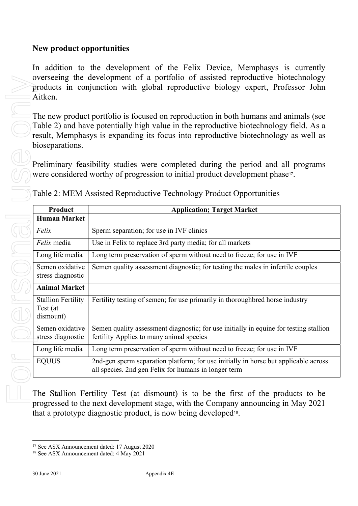### New product opportunities

In addition to the development of the Felix Device, Memphasys is currently overseeing the development of a portfolio of assisted reproductive biotechnology products in conjunction with global reproductive biology expert, Professor John Aitken.

|                                                    | Preliminary feasibility studies were completed during the period and all programs<br>were considered worthy of progression to initial product development phase <sup>17</sup> .                                                                        |
|----------------------------------------------------|--------------------------------------------------------------------------------------------------------------------------------------------------------------------------------------------------------------------------------------------------------|
|                                                    | Table 2: MEM Assisted Reproductive Technology Product Opportunities                                                                                                                                                                                    |
| Product<br><b>Human Market</b>                     | <b>Application; Target Market</b>                                                                                                                                                                                                                      |
| Felix                                              | Sperm separation; for use in IVF clinics                                                                                                                                                                                                               |
| Felix media                                        | Use in Felix to replace 3rd party media; for all markets                                                                                                                                                                                               |
| Long life media                                    | Long term preservation of sperm without need to freeze; for use in IVF                                                                                                                                                                                 |
| Semen oxidative<br>stress diagnostic               | Semen quality assessment diagnostic; for testing the males in infertile couples                                                                                                                                                                        |
| <b>Animal Market</b>                               |                                                                                                                                                                                                                                                        |
| <b>Stallion Fertility</b><br>Test (at<br>dismount) | Fertility testing of semen; for use primarily in thoroughbred horse industry                                                                                                                                                                           |
| Semen oxidative<br>stress diagnostic               | Semen quality assessment diagnostic; for use initially in equine for testing stallion<br>fertility Applies to many animal species                                                                                                                      |
| Long life media                                    | Long term preservation of sperm without need to freeze; for use in IVF                                                                                                                                                                                 |
| <b>EQUUS</b>                                       | 2nd-gen sperm separation platform; for use initially in horse but applicable across<br>all species. 2nd gen Felix for humans in longer term                                                                                                            |
|                                                    | The Stallion Fertility Test (at dismount) is to be the first of the products to be<br>progressed to the next development stage, with the Company announcing in May 2021<br>that a prototype diagnostic product, is now being developed <sup>18</sup> . |

<sup>17</sup> See ASX Announcement dated: 17 August 2020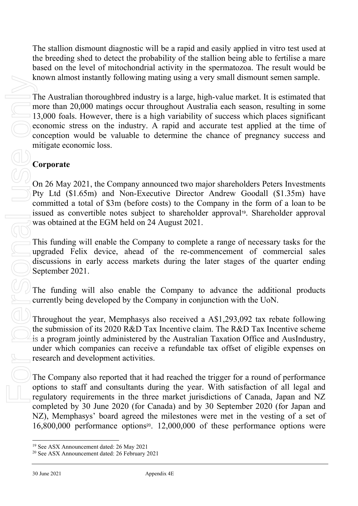The stallion dismount diagnostic will be a rapid and easily applied in vitro test used at the breeding shed to detect the probability of the stallion being able to fertilise a mare based on the level of mitochondrial activity in the spermatozoa. The result would be known almost instantly following mating using a very small dismount semen sample.

The Australian thoroughbred industry is a large, high-value market. It is estimated that more than 20,000 matings occur throughout Australia each season, resulting in some 13,000 foals. However, there is a high variability of success which places significant economic stress on the industry. A rapid and accurate test applied at the time of conception would be valuable to determine the chance of pregnancy success and mitigate economic loss. EXERCT THE Australian thoroughbered industry<br>
20,000 onatings occur throughbered industry<br>
20,000 onations concert, there is a higher conception would be valuable to de<br>
20 conception would be valuable to de<br>
20 conceptio

# Corporate

On 26 May 2021, the Company announced two major shareholders Peters Investments Pty Ltd (\$1.65m) and Non-Executive Director Andrew Goodall (\$1.35m) have committed a total of \$3m (before costs) to the Company in the form of a loan to be issued as convertible notes subject to shareholder approval<sup>19</sup>. Shareholder approval was obtained at the EGM held on 24 August 2021.

This funding will enable the Company to complete a range of necessary tasks for the upgraded Felix device, ahead of the re-commencement of commercial sales discussions in early access markets during the later stages of the quarter ending September 2021.

The funding will also enable the Company to advance the additional products currently being developed by the Company in conjunction with the UoN.

Throughout the year, Memphasys also received a A\$1,293,092 tax rebate following the submission of its 2020 R&D Tax Incentive claim. The R&D Tax Incentive scheme is a program jointly administered by the Australian Taxation Office and AusIndustry, under which companies can receive a refundable tax offset of eligible expenses on research and development activities.

The Company also reported that it had reached the trigger for a round of performance options to staff and consultants during the year. With satisfaction of all legal and regulatory requirements in the three market jurisdictions of Canada, Japan and NZ completed by 30 June 2020 (for Canada) and by 30 September 2020 (for Japan and NZ), Memphasys' board agreed the milestones were met in the vesting of a set of 16,800,000 performance options20. 12,000,000 of these performance options were

<sup>19</sup> See ASX Announcement dated: 26 May 2021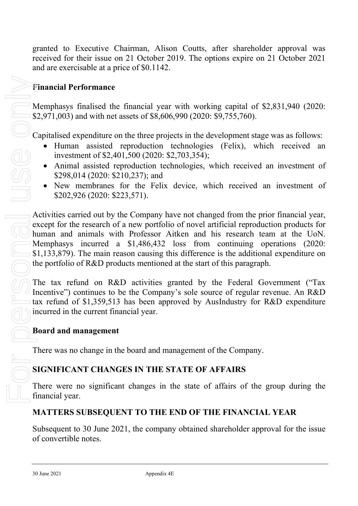granted to Executive Chairman, Alison Coutts, after shareholder approval was received for their issue on 21 October 2019. The options expire on 21 October 2021 and are exercisable at a price of \$0.1142.

### Financial Performance

Memphasys finalised the financial year with working capital of \$2,831,940 (2020: \$2,971,003) and with net assets of \$8,606,990 (2020: \$9,755,760).

Capitalised expenditure on the three projects in the development stage was as follows:

- Human assisted reproduction technologies (Felix), which received an investment of \$2,401,500 (2020: \$2,703,354);
- Animal assisted reproduction technologies, which received an investment of \$298,014 (2020: \$210,237); and
- New membranes for the Felix device, which received an investment of \$202,926 (2020: \$223,571).

 $\rightarrow$  Activities carried out by the Company have not changed from the prior financial year, except for the research of a new portfolio of novel artificial reproduction products for human and animals with Professor Aitken and his research team at the UoN. Memphasys incurred a \$1,486,432 loss from continuing operations (2020: \$1,133,879). The main reason causing this difference is the additional expenditure on the portfolio of R&D products mentioned at the start of this paragraph.

The tax refund on R&D activities granted by the Federal Government ("Tax Incentive") continues to be the Company's sole source of regular revenue. An R&D tax refund of \$1,359,513 has been approved by AusIndustry for R&D expenditure incurred in the current financial year.

#### Board and management

There was no change in the board and management of the Company.

### SIGNIFICANT CHANGES IN THE STATE OF AFFAIRS

There were no significant changes in the state of affairs of the group during the financial year.

# MATTERS SUBSEQUENT TO THE END OF THE FINANCIAL YEAR

Subsequent to 30 June 2021, the company obtained shareholder approval for the issue of convertible notes.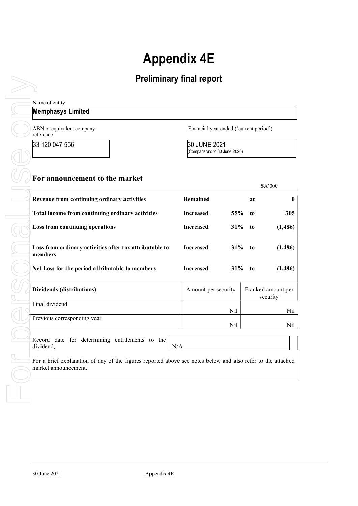# Appendix 4E

# Preliminary final report

| Name of entity                                                                                                                      |                                               |     |           |                                |
|-------------------------------------------------------------------------------------------------------------------------------------|-----------------------------------------------|-----|-----------|--------------------------------|
| <b>Memphasys Limited</b>                                                                                                            |                                               |     |           |                                |
| ABN or equivalent company<br>reference                                                                                              | Financial year ended ('current period')       |     |           |                                |
| 33 120 047 556                                                                                                                      | 30 JUNE 2021<br>(Comparisons to 30 June 2020) |     |           |                                |
| For announcement to the market                                                                                                      |                                               |     |           | \$A'000                        |
| Revenue from continuing ordinary activities                                                                                         | Remained                                      |     | at        | 0                              |
| Total income from continuing ordinary activities                                                                                    | <b>Increased</b>                              | 55% | to        | 305                            |
| Loss from continuing operations                                                                                                     | <b>Increased</b>                              | 31% | to        | (1,486)                        |
| Loss from ordinary activities after tax attributable to<br>members                                                                  | <b>Increased</b>                              |     | $31\%$ to | (1,486)                        |
| Net Loss for the period attributable to members                                                                                     | <b>Increased</b>                              | 31% | to        | (1,486)                        |
| Dividends (distributions)                                                                                                           | Amount per security                           |     |           | Franked amount per<br>security |
| Final dividend                                                                                                                      |                                               | Nil |           | Nil                            |
| Previous corresponding year                                                                                                         |                                               | Nil |           | Nil                            |
| Record date for determining entitlements to the<br>dividend,<br>N/A                                                                 |                                               |     |           |                                |
| For a brief explanation of any of the figures reported above see notes below and also refer to the attached<br>market announcement. |                                               |     |           |                                |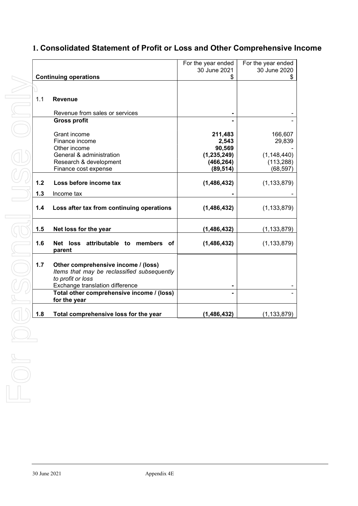# 1. Consolidated Statement of Profit or Loss and Other Comprehensive Income

|                                       |     |                                                                                                                                            | For the year ended | For the year ended |
|---------------------------------------|-----|--------------------------------------------------------------------------------------------------------------------------------------------|--------------------|--------------------|
|                                       |     |                                                                                                                                            | 30 June 2021       | 30 June 2020       |
|                                       |     | <b>Continuing operations</b>                                                                                                               | \$                 | S.                 |
|                                       |     |                                                                                                                                            |                    |                    |
|                                       | 1.1 | <b>Revenue</b>                                                                                                                             |                    |                    |
|                                       |     | Revenue from sales or services                                                                                                             |                    |                    |
|                                       |     | <b>Gross profit</b>                                                                                                                        |                    |                    |
|                                       |     | Grant income                                                                                                                               | 211,483            | 166,607            |
|                                       |     | Finance income                                                                                                                             | 2,543              | 29,839             |
|                                       |     | Other income                                                                                                                               | 90,569             |                    |
|                                       |     | General & administration                                                                                                                   | (1, 235, 249)      | (1, 148, 440)      |
|                                       |     | Research & development                                                                                                                     | (466, 264)         | (113, 288)         |
|                                       |     | Finance cost expense                                                                                                                       | (89, 514)          | (68,597)           |
|                                       | 1.2 | Loss before income tax                                                                                                                     | (1,486,432)        | (1, 133, 879)      |
|                                       | 1.3 | Income tax                                                                                                                                 |                    |                    |
|                                       | 1.4 | Loss after tax from continuing operations                                                                                                  | (1,486,432)        | (1, 133, 879)      |
|                                       |     |                                                                                                                                            |                    |                    |
|                                       | 1.5 | Net loss for the year                                                                                                                      | (1, 486, 432)      | (1, 133, 879)      |
|                                       | 1.6 | Net loss attributable to members<br>.of<br>parent                                                                                          | (1,486,432)        | (1, 133, 879)      |
|                                       | 1.7 | Other comprehensive income / (loss)<br>Items that may be reclassified subsequently<br>to profit or loss<br>Exchange translation difference |                    |                    |
|                                       |     | Total other comprehensive income / (loss)<br>for the year                                                                                  |                    |                    |
|                                       | 1.8 | Total comprehensive loss for the year                                                                                                      | (1, 486, 432)      | (1, 133, 879)      |
| $\begin{array}{c} \hline \end{array}$ |     |                                                                                                                                            |                    |                    |
|                                       |     |                                                                                                                                            |                    |                    |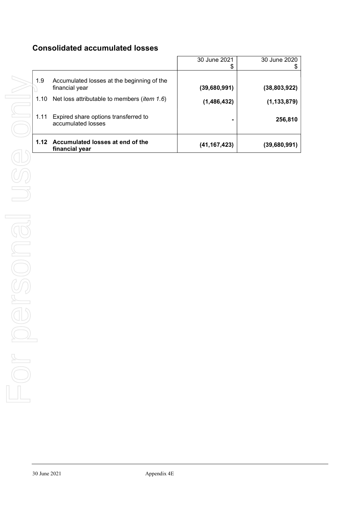### Consolidated accumulated losses

|      |                                                              | 30 June 2021<br>\$ | 30 June 2020   |
|------|--------------------------------------------------------------|--------------------|----------------|
| 1.9  | Accumulated losses at the beginning of the<br>financial year | (39,680,991)       | (38, 803, 922) |
| 1.10 | Net loss attributable to members ( <i>item 1.6</i> )         | (1,486,432)        | (1, 133, 879)  |
| 1.11 | Expired share options transferred to<br>accumulated losses   | -                  | 256,810        |
| 1.12 | Accumulated losses at end of the<br>financial year           | (41, 167, 423)     | (39,680,991)   |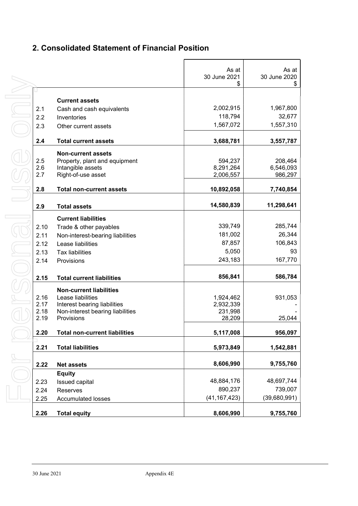# 2. Consolidated Statement of Financial Position

|      |                                      | As at<br>30 June 2021<br>\$ | As at<br>30 June 2020<br>\$ |
|------|--------------------------------------|-----------------------------|-----------------------------|
|      |                                      |                             |                             |
|      | <b>Current assets</b>                |                             |                             |
| 2.1  | Cash and cash equivalents            | 2,002,915                   | 1,967,800                   |
| 2.2  | Inventories                          | 118,794                     | 32,677                      |
| 2.3  | Other current assets                 | 1,567,072                   | 1,557,310                   |
| 2.4  | <b>Total current assets</b>          | 3,688,781                   | 3,557,787                   |
|      | <b>Non-current assets</b>            |                             |                             |
| 2.5  | Property, plant and equipment        | 594,237                     | 208,464                     |
| 2.6  | Intangible assets                    | 8,291,264                   | 6,546,093                   |
| 2.7  | Right-of-use asset                   | 2,006,557                   | 986,297                     |
| 2.8  | <b>Total non-current assets</b>      | 10,892,058                  | 7,740,854                   |
|      |                                      |                             |                             |
| 2.9  | <b>Total assets</b>                  | 14,580,839                  | 11,298,641                  |
|      | <b>Current liabilities</b>           |                             |                             |
| 2.10 | Trade & other payables               | 339,749                     | 285,744                     |
| 2.11 | Non-interest-bearing liabilities     | 181,002                     | 26,344                      |
| 2.12 | Lease liabilities                    | 87,857                      | 106,843                     |
| 2.13 | <b>Tax liabilities</b>               | 5,050                       | 93                          |
| 2.14 | Provisions                           | 243,183                     | 167,770                     |
|      |                                      |                             |                             |
| 2.15 | <b>Total current liabilities</b>     | 856,841                     | 586,784                     |
|      | <b>Non-current liabilities</b>       |                             |                             |
| 2.16 | Lease liabilities                    | 1,924,462                   | 931,053                     |
| 2.17 | Interest bearing liabilities         | 2,932,339                   |                             |
| 2.18 | Non-interest bearing liabilities     | 231,998                     |                             |
| 2.19 | Provisions                           | 28,209                      | 25,044                      |
| 2.20 | <b>Total non-current liabilities</b> | 5,117,008                   | 956,097                     |
|      |                                      |                             |                             |
| 2.21 | <b>Total liabilities</b>             | 5,973,849                   | 1,542,881                   |
| 2.22 | <b>Net assets</b>                    | 8,606,990                   | 9,755,760                   |
|      | <b>Equity</b>                        |                             |                             |
| 2.23 | Issued capital                       | 48,884,176                  | 48,697,744                  |
| 2.24 | Reserves                             | 890,237                     | 739,007                     |
| 2.25 | <b>Accumulated losses</b>            | (41, 167, 423)              | (39,680,991)                |
|      |                                      |                             |                             |
| 2.26 | <b>Total equity</b>                  | 8,606,990                   | 9,755,760                   |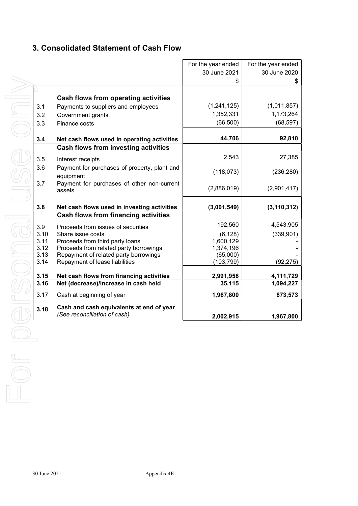### 3. Consolidated Statement of Cash Flow

|              |                                                                         | For the year ended     | For the year ended |
|--------------|-------------------------------------------------------------------------|------------------------|--------------------|
|              |                                                                         | 30 June 2021           | 30 June 2020       |
|              |                                                                         | \$                     | \$                 |
|              |                                                                         |                        |                    |
|              | Cash flows from operating activities                                    |                        |                    |
| 3.1          | Payments to suppliers and employees                                     | (1,241,125)            | (1,011,857)        |
| 3.2          | Government grants                                                       | 1,352,331              | 1,173,264          |
| 3.3          | Finance costs                                                           | (66, 500)              | (68, 597)          |
|              |                                                                         |                        |                    |
| 3.4          | Net cash flows used in operating activities                             | 44,706                 | 92,810             |
|              | Cash flows from investing activities                                    |                        |                    |
| 3.5          | Interest receipts                                                       | 2,543                  | 27,385             |
| 3.6          | Payment for purchases of property, plant and                            |                        |                    |
|              | equipment                                                               | (118, 073)             | (236, 280)         |
| 3.7          | Payment for purchases of other non-current                              |                        |                    |
|              | assets                                                                  | (2,886,019)            | (2,901,417)        |
|              |                                                                         |                        |                    |
| 3.8          | Net cash flows used in investing activities                             | (3,001,549)            | (3, 110, 312)      |
|              | <b>Cash flows from financing activities</b>                             |                        |                    |
| 3.9          | Proceeds from issues of securities                                      | 192,560                | 4,543,905          |
| 3.10         | Share issue costs                                                       | (6, 128)               | (339, 901)         |
| 3.11         | Proceeds from third party loans                                         | 1,600,129              |                    |
| 3.12         | Proceeds from related party borrowings                                  | 1,374,196              |                    |
| 3.13<br>3.14 | Repayment of related party borrowings<br>Repayment of lease liabilities | (65,000)<br>(103, 799) | (92, 275)          |
|              |                                                                         |                        |                    |
| 3.15         | Net cash flows from financing activities                                | 2,991,958              | 4,111,729          |
| 3.16         | Net (decrease)/increase in cash held                                    | 35,115                 | 1,094,227          |
| 3.17         | Cash at beginning of year                                               | 1,967,800              | 873,573            |
| 3.18         | Cash and cash equivalents at end of year                                |                        |                    |
|              | (See reconciliation of cash)                                            | 2,002,915              | 1,967,800          |
|              |                                                                         |                        |                    |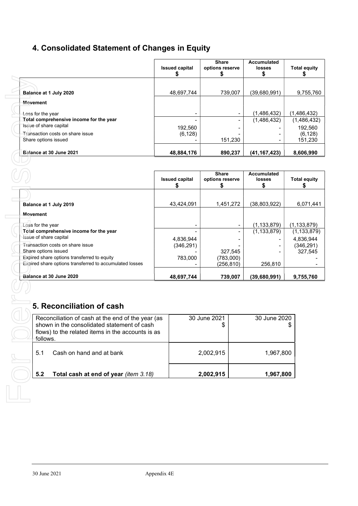# 4. Consolidated Statement of Changes in Equity

|                                         | <b>Issued capital</b> | Share<br>options reserve | <b>Accumulated</b><br><b>losses</b> | <b>Total equity</b> |
|-----------------------------------------|-----------------------|--------------------------|-------------------------------------|---------------------|
|                                         |                       |                          |                                     |                     |
| Balance at 1 July 2020                  | 48,697,744            | 739.007                  | (39,680,991)                        | 9,755,760           |
| Movement                                |                       |                          |                                     |                     |
| Loss for the year                       |                       |                          | (1,486,432)                         | (1,486,432)         |
| Total comprehensive income for the year |                       |                          | (1,486,432)                         | (1,486,432)         |
| Issue of share capital                  | 192,560               |                          |                                     | 192,560             |
| Transaction costs on share issue        | (6, 128)              |                          |                                     | (6, 128)            |
| Share options issued                    |                       | 151,230                  |                                     | 151,230             |
| Balance at 30 June 2021                 | 48,884,176            | 890,237                  | (41, 167, 423)                      | 8,606,990           |

| Balance at 1 July 2020                                                                                                                                | 48,697,744            |          | 739,007            | (39,680,991)           | 9,755,760             |  |
|-------------------------------------------------------------------------------------------------------------------------------------------------------|-----------------------|----------|--------------------|------------------------|-----------------------|--|
| Movement                                                                                                                                              |                       |          |                    |                        |                       |  |
| Loss for the year                                                                                                                                     |                       |          |                    | (1,486,432)            | (1, 486, 432)         |  |
| Total comprehensive income for the year                                                                                                               |                       |          |                    | (1,486,432)            | (1,486,432)           |  |
| Issue of share capital                                                                                                                                |                       | 192,560  |                    |                        | 192,560               |  |
| Transaction costs on share issue<br>Share options issued                                                                                              |                       | (6, 128) | 151,230            |                        | (6, 128)<br>151,230   |  |
|                                                                                                                                                       |                       |          |                    |                        |                       |  |
| Balance at 30 June 2021                                                                                                                               | 48,884,176            |          | 890,237            | (41, 167, 423)         | 8,606,990             |  |
|                                                                                                                                                       |                       |          |                    |                        |                       |  |
|                                                                                                                                                       |                       |          | <b>Share</b>       | <b>Accumulated</b>     |                       |  |
|                                                                                                                                                       | <b>Issued capital</b> |          | options reserve    | <b>losses</b>          | <b>Total equity</b>   |  |
|                                                                                                                                                       | \$                    |          | \$                 | \$                     | \$                    |  |
|                                                                                                                                                       |                       |          |                    |                        |                       |  |
| Balance at 1 July 2019                                                                                                                                | 43,424,091            |          | 1,451,272          | (38, 803, 922)         | 6,071,441             |  |
| Movement                                                                                                                                              |                       |          |                    |                        |                       |  |
| Loss for the year                                                                                                                                     |                       |          |                    | (1, 133, 879)          | (1,133,879)           |  |
| Total comprehensive income for the year                                                                                                               |                       |          |                    | (1, 133, 879)          | (1, 133, 879)         |  |
| Issue of share capital                                                                                                                                | 4,836,944             |          |                    |                        | 4,836,944             |  |
| Transaction costs on share issue<br>Share options issued                                                                                              | (346, 291)            |          | 327,545            |                        | (346, 291)<br>327,545 |  |
| Expired share options transferred to equity                                                                                                           |                       | 783,000  | (783,000)          |                        |                       |  |
| Expired share options transferred to accumulated losses                                                                                               |                       |          | (256, 810)         | 256,810                |                       |  |
| Balance at 30 June 2020                                                                                                                               | 48,697,744            |          | 739,007            | (39,680,991)           | 9,755,760             |  |
| 5. Reconciliation of cash                                                                                                                             |                       |          |                    | 30 June 2020           |                       |  |
| Reconciliation of cash at the end of the year (as<br>shown in the consolidated statement of cash<br>flows) to the related items in the accounts is as |                       |          | 30 June 2021<br>\$ |                        | \$                    |  |
| follows.<br>5.1<br>Cash on hand and at bank<br>5.2<br>Total cash at end of year (item 3.18)                                                           |                       |          | 2,002,915          | 1,967,800<br>1,967,800 |                       |  |

# 5. Reconciliation of cash

| follows. | Reconciliation of cash at the end of the year (as<br>shown in the consolidated statement of cash<br>flows) to the related items in the accounts is as | 30 June 2021<br>S | 30 June 2020 |
|----------|-------------------------------------------------------------------------------------------------------------------------------------------------------|-------------------|--------------|
| 51       | Cash on hand and at bank                                                                                                                              | 2,002,915         | 1.967.800    |
| 5.2      | Total cash at end of year (item 3.18)                                                                                                                 | 2,002,915         | 1.967.800    |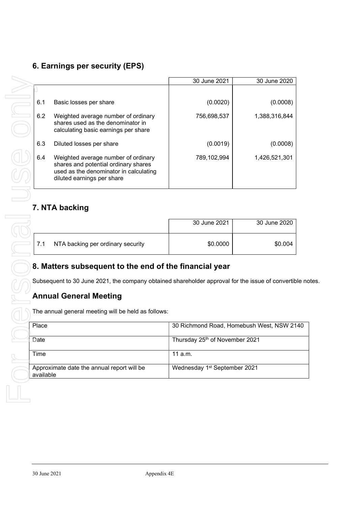# 6. Earnings per security (EPS)

|       |                                                                                                                                                                                             | 30 June 2021                   | 30 June 2020                            |
|-------|---------------------------------------------------------------------------------------------------------------------------------------------------------------------------------------------|--------------------------------|-----------------------------------------|
|       |                                                                                                                                                                                             |                                |                                         |
| 6.1   | Basic losses per share                                                                                                                                                                      | (0.0020)                       | (0.0008)                                |
| 6.2   | Weighted average number of ordinary<br>shares used as the denominator in<br>calculating basic earnings per share                                                                            | 756,698,537                    | 1,388,316,844                           |
| 6.3   | Diluted losses per share                                                                                                                                                                    | (0.0019)                       | (0.0008)                                |
| 6.4   | Weighted average number of ordinary<br>shares and potential ordinary shares<br>used as the denominator in calculating<br>diluted earnings per share                                         | 789,102,994                    | 1,426,521,301                           |
|       | 7. NTA backing                                                                                                                                                                              |                                |                                         |
|       |                                                                                                                                                                                             | 30 June 2021                   | 30 June 2020                            |
| 7.1   | NTA backing per ordinary security                                                                                                                                                           | \$0.0000                       | \$0.004                                 |
|       |                                                                                                                                                                                             |                                |                                         |
|       | 8. Matters subsequent to the end of the financial year<br>Subsequent to 30 June 2021, the company obtained shareholder approval for the issue of convertib<br><b>Annual General Meeting</b> |                                |                                         |
|       | The annual general meeting will be held as follows:                                                                                                                                         |                                |                                         |
| Place |                                                                                                                                                                                             |                                | 30 Richmond Road, Homebush West, NSW 21 |
| Date  |                                                                                                                                                                                             | Thursday 25th of November 2021 |                                         |
| Time  |                                                                                                                                                                                             | 11 a.m.                        |                                         |

# 7. NTA backing

|     |                                   | 30 June 2021 | 30 June 2020 |
|-----|-----------------------------------|--------------|--------------|
| 7.1 | NTA backing per ordinary security | \$0.0000     | \$0.004      |

### 8. Matters subsequent to the end of the financial year

Subsequent to 30 June 2021, the company obtained shareholder approval for the issue of convertible notes.

### Annual General Meeting

| The annual general meeting will be held as follows:     |                                           |
|---------------------------------------------------------|-------------------------------------------|
| Place                                                   | 30 Richmond Road, Homebush West, NSW 2140 |
| Date                                                    | Thursday 25th of November 2021            |
| Time                                                    | 11 $a.m.$                                 |
| Approximate date the annual report will be<br>available | Wednesday 1 <sup>st</sup> September 2021  |
|                                                         |                                           |